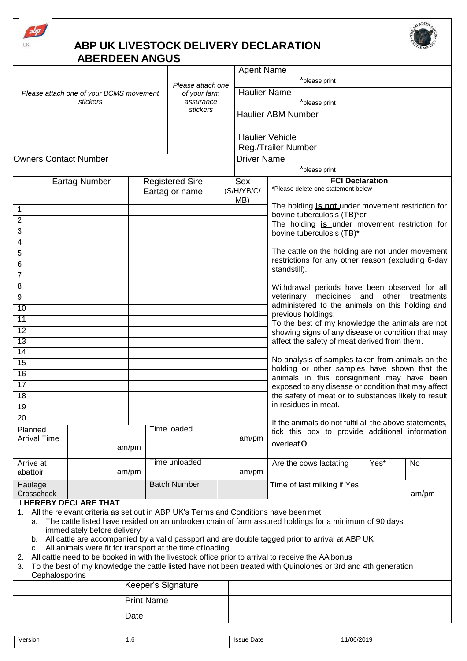

## **ABP UK LIVESTOCK DELIVERY DECLARATION ABERDEEN ANGUS**



|                                                     |                      |                                                                                                                      | Please attach one<br>of your farm<br>assurance |                        | <b>Agent Name</b>                                | *please print            |                                                                                                                                                                                                          |  |      |       |
|-----------------------------------------------------|----------------------|----------------------------------------------------------------------------------------------------------------------|------------------------------------------------|------------------------|--------------------------------------------------|--------------------------|----------------------------------------------------------------------------------------------------------------------------------------------------------------------------------------------------------|--|------|-------|
| Please attach one of your BCMS movement<br>stickers |                      |                                                                                                                      |                                                |                        | <b>Haulier Name</b>                              | *please print            |                                                                                                                                                                                                          |  |      |       |
|                                                     |                      |                                                                                                                      |                                                | stickers               |                                                  |                          | <b>Haulier ABM Number</b>                                                                                                                                                                                |  |      |       |
|                                                     |                      |                                                                                                                      |                                                |                        |                                                  |                          | <b>Haulier Vehicle</b>                                                                                                                                                                                   |  |      |       |
|                                                     |                      |                                                                                                                      |                                                |                        |                                                  | Reg./Trailer Number      |                                                                                                                                                                                                          |  |      |       |
| <b>Owners Contact Number</b>                        |                      |                                                                                                                      |                                                |                        | <b>Driver Name</b>                               | *please print            |                                                                                                                                                                                                          |  |      |       |
|                                                     | <b>Eartag Number</b> |                                                                                                                      |                                                | <b>Registered Sire</b> |                                                  |                          | <b>FCI Declaration</b>                                                                                                                                                                                   |  |      |       |
|                                                     |                      |                                                                                                                      |                                                | Eartag or name         |                                                  | Sex<br>(S/H/YB/C/<br>MB) | *Please delete one statement below                                                                                                                                                                       |  |      |       |
| 1                                                   |                      |                                                                                                                      |                                                |                        |                                                  |                          | The holding <i>is not</i> under movement restriction for                                                                                                                                                 |  |      |       |
| $\overline{2}$                                      |                      |                                                                                                                      |                                                |                        |                                                  |                          | bovine tuberculosis (TB)*or                                                                                                                                                                              |  |      |       |
| 3                                                   |                      |                                                                                                                      |                                                |                        |                                                  |                          | The holding is under movement restriction for<br>bovine tuberculosis (TB)*                                                                                                                               |  |      |       |
| 4                                                   |                      |                                                                                                                      |                                                |                        |                                                  |                          |                                                                                                                                                                                                          |  |      |       |
| 5                                                   |                      |                                                                                                                      |                                                |                        |                                                  |                          | The cattle on the holding are not under movement                                                                                                                                                         |  |      |       |
| 6                                                   |                      |                                                                                                                      |                                                |                        |                                                  |                          | restrictions for any other reason (excluding 6-day<br>standstill).                                                                                                                                       |  |      |       |
| $\overline{7}$                                      |                      |                                                                                                                      |                                                |                        |                                                  |                          |                                                                                                                                                                                                          |  |      |       |
| 8                                                   |                      |                                                                                                                      |                                                |                        |                                                  |                          | Withdrawal periods have been observed for all                                                                                                                                                            |  |      |       |
| 9<br>$\overline{10}$                                |                      |                                                                                                                      |                                                |                        |                                                  |                          | medicines and<br>other treatments<br>veterinary<br>administered to the animals on this holding and<br>previous holdings.                                                                                 |  |      |       |
| 11                                                  |                      |                                                                                                                      |                                                |                        |                                                  |                          |                                                                                                                                                                                                          |  |      |       |
| 12                                                  |                      |                                                                                                                      |                                                |                        |                                                  |                          | To the best of my knowledge the animals are not<br>showing signs of any disease or condition that may<br>affect the safety of meat derived from them.                                                    |  |      |       |
| $\overline{13}$                                     |                      |                                                                                                                      |                                                |                        |                                                  |                          |                                                                                                                                                                                                          |  |      |       |
| $\overline{14}$                                     |                      |                                                                                                                      |                                                |                        |                                                  |                          |                                                                                                                                                                                                          |  |      |       |
| $\overline{15}$                                     |                      |                                                                                                                      |                                                |                        | No analysis of samples taken from animals on the |                          |                                                                                                                                                                                                          |  |      |       |
| 16                                                  |                      |                                                                                                                      |                                                |                        |                                                  |                          | holding or other samples have shown that the<br>animals in this consignment may have been<br>exposed to any disease or condition that may affect<br>the safety of meat or to substances likely to result |  |      |       |
| 17                                                  |                      |                                                                                                                      |                                                |                        |                                                  |                          |                                                                                                                                                                                                          |  |      |       |
| 18                                                  |                      |                                                                                                                      |                                                |                        |                                                  |                          |                                                                                                                                                                                                          |  |      |       |
| 19                                                  |                      |                                                                                                                      |                                                |                        |                                                  |                          | in residues in meat.                                                                                                                                                                                     |  |      |       |
| $\overline{20}$                                     |                      |                                                                                                                      |                                                |                        |                                                  |                          |                                                                                                                                                                                                          |  |      |       |
| Planned<br><b>Arrival Time</b>                      |                      | am/pm                                                                                                                |                                                | Time loaded            |                                                  |                          | If the animals do not fulfil all the above statements,<br>tick this box to provide additional information<br>overleaf O                                                                                  |  |      |       |
|                                                     |                      |                                                                                                                      |                                                |                        | am/pm                                            |                          |                                                                                                                                                                                                          |  |      |       |
| Arrive at                                           |                      |                                                                                                                      |                                                | Time unloaded          |                                                  |                          | Are the cows lactating                                                                                                                                                                                   |  | Yes* | No    |
| abattoir                                            |                      |                                                                                                                      | am/pm                                          |                        |                                                  | am/pm                    |                                                                                                                                                                                                          |  |      |       |
| Haulage                                             | Crosscheck           |                                                                                                                      |                                                | <b>Batch Number</b>    |                                                  |                          | Time of last milking if Yes                                                                                                                                                                              |  |      | am/pm |
|                                                     |                      | <b>I HEREBY DECLARE THAT</b><br>All the relevant criteria as set out in ARD LIK's Terms and Conditions have been met |                                                |                        |                                                  |                          |                                                                                                                                                                                                          |  |      |       |

- want criteria as set out in ABP UK's Terms and Conditions have been met
	- a. The cattle listed have resided on an unbroken chain of farm assured holdings for a minimum of 90 days immediately before delivery
	- b. All cattle are accompanied by a valid passport and are double tagged prior to arrival at ABP UK
	- c. All animals were fit for transport at the time ofloading
- 2. All cattle need to be booked in with the livestock office prior to arrival to receive the AA bonus
- 3. To the best of my knowledge the cattle listed have not been treated with Quinolones or 3rd and 4th generation **Cephalosporins**

| Keeper's Signature |  |
|--------------------|--|
| <b>Print Name</b>  |  |
| Date               |  |

| Version<br>1/06/201c<br>≞Date<br><i><b>Issue</b></i><br>۰<br>$\cdot$ . O<br>---- |  |  |
|----------------------------------------------------------------------------------|--|--|
|                                                                                  |  |  |